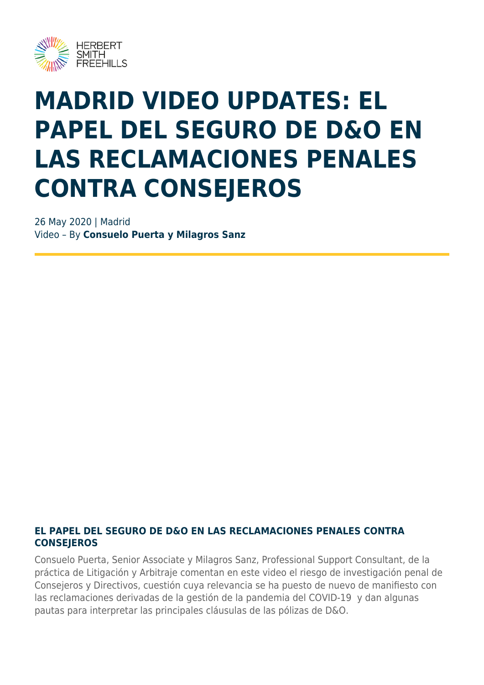

# **MADRID VIDEO UPDATES: EL PAPEL DEL SEGURO DE D&O EN LAS RECLAMACIONES PENALES CONTRA CONSEJEROS**

26 May 2020 | Madrid Video – By **Consuelo Puerta y Milagros Sanz**

#### **EL PAPEL DEL SEGURO DE D&O EN LAS RECLAMACIONES PENALES CONTRA CONSEJEROS**

Consuelo Puerta, Senior Associate y Milagros Sanz, Professional Support Consultant, de la práctica de Litigación y Arbitraje comentan en este video el riesgo de investigación penal de Consejeros y Directivos, cuestión cuya relevancia se ha puesto de nuevo de manifiesto con las reclamaciones derivadas de la gestión de la pandemia del COVID-19 y dan algunas pautas para interpretar las principales cláusulas de las pólizas de D&O.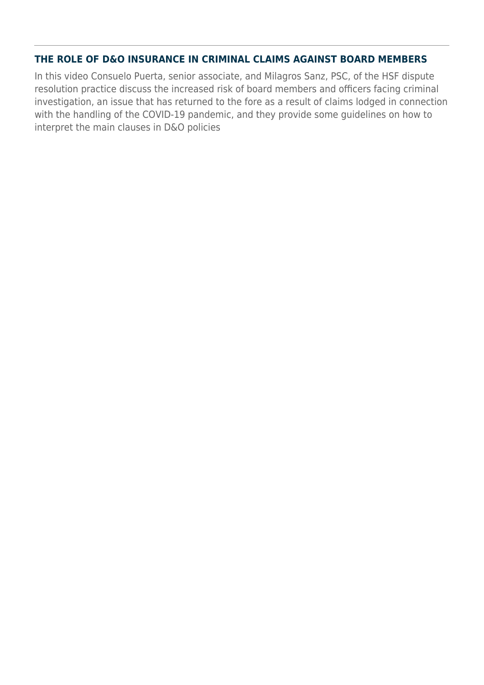#### **THE ROLE OF D&O INSURANCE IN CRIMINAL CLAIMS AGAINST BOARD MEMBERS**

In this video Consuelo Puerta, senior associate, and Milagros Sanz, PSC, of the HSF dispute resolution practice discuss the increased risk of board members and officers facing criminal investigation, an issue that has returned to the fore as a result of claims lodged in connection with the handling of the COVID-19 pandemic, and they provide some guidelines on how to interpret the main clauses in D&O policies